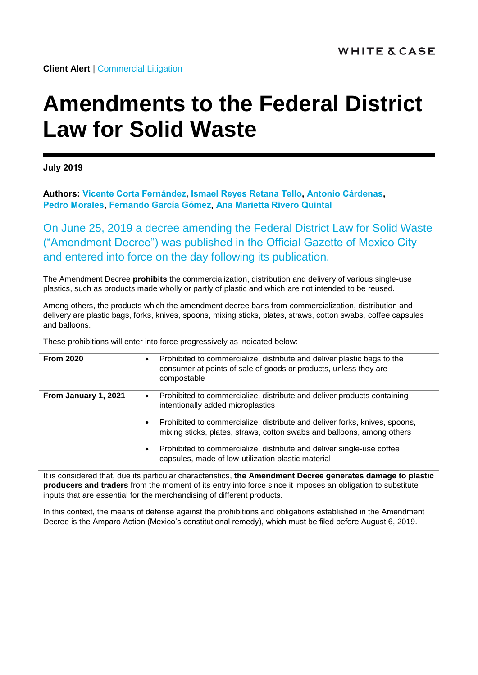**Client Alert | [Commercial Litigation](https://www.whitecase.com/law/practices/commercial-litigation)** 

## **Amendments to the Federal District Law for Solid Waste**

**July 2019**

**Authors: [Vicente Corta](https://www.whitecase.com/people/vicente-corta-fernandez) Fernández, [Ismael Reyes Retana](https://www.whitecase.com/people/ismael-reyes-retana-tello) Tello, [Antonio Cárdenas,](https://www.whitecase.com/people/antonio-cardenas) [Pedro Morales,](https://www.whitecase.com/people/pedro-morales) [Fernando García](https://www.whitecase.com/people/fernando-garcia-gomez) Gómez, Ana [Marietta Rivero](https://www.whitecase.com/people/ana-marietta-rivero-quintal) Quintal**

On June 25, 2019 a decree amending the Federal District Law for Solid Waste ("Amendment Decree") was published in the Official Gazette of Mexico City and entered into force on the day following its publication.

The Amendment Decree **prohibits** the commercialization, distribution and delivery of various single-use plastics, such as products made wholly or partly of plastic and which are not intended to be reused.

Among others, the products which the amendment decree bans from commercialization, distribution and delivery are plastic bags, forks, knives, spoons, mixing sticks, plates, straws, cotton swabs, coffee capsules and balloons.

These prohibitions will enter into force progressively as indicated below:

| <b>From 2020</b>     | $\bullet$ | Prohibited to commercialize, distribute and deliver plastic bags to the<br>consumer at points of sale of goods or products, unless they are<br>compostable |
|----------------------|-----------|------------------------------------------------------------------------------------------------------------------------------------------------------------|
| From January 1, 2021 | $\bullet$ | Prohibited to commercialize, distribute and deliver products containing<br>intentionally added microplastics                                               |
|                      | $\bullet$ | Prohibited to commercialize, distribute and deliver forks, knives, spoons,<br>mixing sticks, plates, straws, cotton swabs and balloons, among others       |
|                      | $\bullet$ | Prohibited to commercialize, distribute and deliver single-use coffee<br>capsules, made of low-utilization plastic material                                |

It is considered that, due its particular characteristics, **the Amendment Decree generates damage to plastic producers and traders** from the moment of its entry into force since it imposes an obligation to substitute inputs that are essential for the merchandising of different products.

In this context, the means of defense against the prohibitions and obligations established in the Amendment Decree is the Amparo Action (Mexico's constitutional remedy), which must be filed before August 6, 2019.